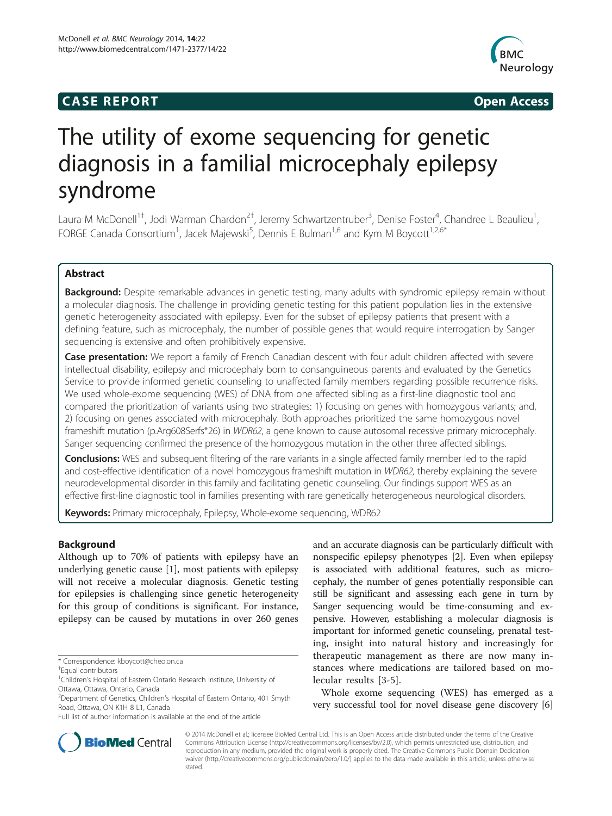# **CASE REPORT CASE REPORT**



# The utility of exome sequencing for genetic diagnosis in a familial microcephaly epilepsy syndrome

Laura M McDonell<sup>1†</sup>, Jodi Warman Chardon<sup>2†</sup>, Jeremy Schwartzentruber<sup>3</sup>, Denise Foster<sup>4</sup>, Chandree L Beaulieu<sup>1</sup> , FORGE Canada Consortium<sup>1</sup>, Jacek Majewski<sup>5</sup>, Dennis E Bulman<sup>1,6</sup> and Kym M Boycott<sup>1,2,6\*</sup>

# Abstract

Background: Despite remarkable advances in genetic testing, many adults with syndromic epilepsy remain without a molecular diagnosis. The challenge in providing genetic testing for this patient population lies in the extensive genetic heterogeneity associated with epilepsy. Even for the subset of epilepsy patients that present with a defining feature, such as microcephaly, the number of possible genes that would require interrogation by Sanger sequencing is extensive and often prohibitively expensive.

Case presentation: We report a family of French Canadian descent with four adult children affected with severe intellectual disability, epilepsy and microcephaly born to consanguineous parents and evaluated by the Genetics Service to provide informed genetic counseling to unaffected family members regarding possible recurrence risks. We used whole-exome sequencing (WES) of DNA from one affected sibling as a first-line diagnostic tool and compared the prioritization of variants using two strategies: 1) focusing on genes with homozygous variants; and, 2) focusing on genes associated with microcephaly. Both approaches prioritized the same homozygous novel frameshift mutation (p.Arg608Serfs\*26) in WDR62, a gene known to cause autosomal recessive primary microcephaly. Sanger sequencing confirmed the presence of the homozygous mutation in the other three affected siblings.

**Conclusions:** WES and subsequent filtering of the rare variants in a single affected family member led to the rapid and cost-effective identification of a novel homozygous frameshift mutation in WDR62, thereby explaining the severe neurodevelopmental disorder in this family and facilitating genetic counseling. Our findings support WES as an effective first-line diagnostic tool in families presenting with rare genetically heterogeneous neurological disorders.

Keywords: Primary microcephaly, Epilepsy, Whole-exome sequencing, WDR62

# Background

Although up to 70% of patients with epilepsy have an underlying genetic cause [[1](#page-4-0)], most patients with epilepsy will not receive a molecular diagnosis. Genetic testing for epilepsies is challenging since genetic heterogeneity for this group of conditions is significant. For instance, epilepsy can be caused by mutations in over 260 genes

and an accurate diagnosis can be particularly difficult with nonspecific epilepsy phenotypes [\[2](#page-4-0)]. Even when epilepsy is associated with additional features, such as microcephaly, the number of genes potentially responsible can still be significant and assessing each gene in turn by Sanger sequencing would be time-consuming and expensive. However, establishing a molecular diagnosis is important for informed genetic counseling, prenatal testing, insight into natural history and increasingly for therapeutic management as there are now many instances where medications are tailored based on molecular results [\[3](#page-4-0)-[5](#page-4-0)].

Whole exome sequencing (WES) has emerged as a very successful tool for novel disease gene discovery [\[6](#page-4-0)]



© 2014 McDonell et al.; licensee BioMed Central Ltd. This is an Open Access article distributed under the terms of the Creative Commons Attribution License [\(http://creativecommons.org/licenses/by/2.0\)](http://creativecommons.org/licenses/by/2.0), which permits unrestricted use, distribution, and reproduction in any medium, provided the original work is properly cited. The Creative Commons Public Domain Dedication waiver [\(http://creativecommons.org/publicdomain/zero/1.0/\)](http://creativecommons.org/publicdomain/zero/1.0/) applies to the data made available in this article, unless otherwise stated.

<sup>\*</sup> Correspondence: [kboycott@cheo.on.ca](mailto:kboycott@cheo.on.ca) †

Equal contributors

<sup>&</sup>lt;sup>1</sup>Children's Hospital of Eastern Ontario Research Institute, University of Ottawa, Ottawa, Ontario, Canada

<sup>&</sup>lt;sup>2</sup>Department of Genetics, Children's Hospital of Eastern Ontario, 401 Smyth Road, Ottawa, ON K1H 8 L1, Canada

Full list of author information is available at the end of the article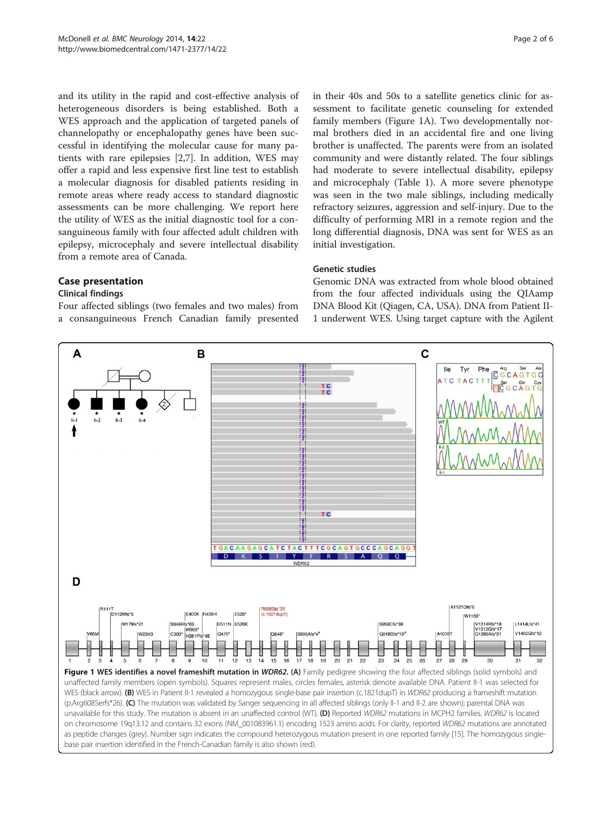<span id="page-1-0"></span>and its utility in the rapid and cost-effective analysis of heterogeneous disorders is being established. Both a WES approach and the application of targeted panels of channelopathy or encephalopathy genes have been successful in identifying the molecular cause for many patients with rare epilepsies [\[2,7](#page-4-0)]. In addition, WES may offer a rapid and less expensive first line test to establish a molecular diagnosis for disabled patients residing in remote areas where ready access to standard diagnostic assessments can be more challenging. We report here the utility of WES as the initial diagnostic tool for a consanguineous family with four affected adult children with epilepsy, microcephaly and severe intellectual disability from a remote area of Canada.

# Case presentation

# Clinical findings

Four affected siblings (two females and two males) from a consanguineous French Canadian family presented

in their 40s and 50s to a satellite genetics clinic for assessment to facilitate genetic counseling for extended family members (Figure 1A). Two developmentally normal brothers died in an accidental fire and one living brother is unaffected. The parents were from an isolated community and were distantly related. The four siblings had moderate to severe intellectual disability, epilepsy and microcephaly (Table [1\)](#page-2-0). A more severe phenotype was seen in the two male siblings, including medically refractory seizures, aggression and self-injury. Due to the difficulty of performing MRI in a remote region and the long differential diagnosis, DNA was sent for WES as an initial investigation.

# Genetic studies

Genomic DNA was extracted from whole blood obtained from the four affected individuals using the QIAamp DNA Blood Kit (Qiagen, CA, USA). DNA from Patient II-1 underwent WES. Using target capture with the Agilent

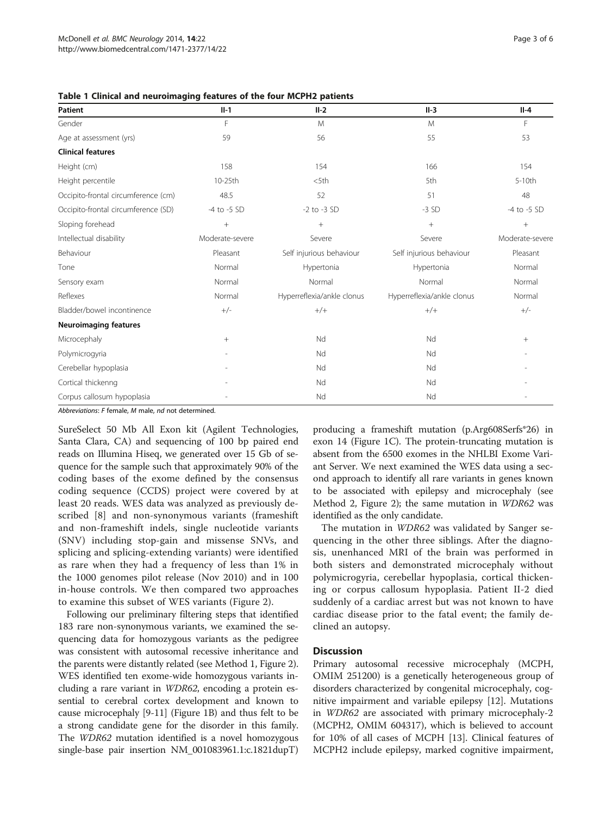<span id="page-2-0"></span>

| Table 1 Clinical and neuroimaging features of the four MCPH2 patients |  |  |
|-----------------------------------------------------------------------|--|--|
|-----------------------------------------------------------------------|--|--|

| Patient                             | $II-1$          | $II-2$                     | $II-3$                     | $II-4$          |
|-------------------------------------|-----------------|----------------------------|----------------------------|-----------------|
| Gender                              | F               | M                          | M                          | F               |
| Age at assessment (yrs)             | 59              | 56                         | 55                         | 53              |
| <b>Clinical features</b>            |                 |                            |                            |                 |
| Height (cm)                         | 158             | 154                        | 166                        | 154             |
| Height percentile                   | 10-25th         | $<$ 5th                    | 5th                        | $5-10th$        |
| Occipito-frontal circumference (cm) | 48.5            | 52                         | 51                         | 48              |
| Occipito-frontal circumference (SD) | -4 to -5 SD     | $-2$ to $-3$ SD            | $-3$ SD                    | -4 to -5 SD     |
| Sloping forehead                    | $+$             | $^{+}$                     | $+$                        | $^{+}$          |
| Intellectual disability             | Moderate-severe | Severe                     | Severe                     | Moderate-severe |
| Behaviour                           | Pleasant        | Self injurious behaviour   | Self injurious behaviour   | Pleasant        |
| Tone                                | Normal          | Hypertonia                 | Hypertonia                 | Normal          |
| Sensory exam                        | Normal          | Normal                     | Normal                     | Normal          |
| Reflexes                            | Normal          | Hyperreflexia/ankle clonus | Hyperreflexia/ankle clonus | Normal          |
| Bladder/bowel incontinence          | $+/-$           | $+/+$                      | $+/+$                      | $+/-$           |
| <b>Neuroimaging features</b>        |                 |                            |                            |                 |
| Microcephaly                        | $+$             | Nd                         | Nd                         | $\! + \!\!\!\!$ |
| Polymicrogyria                      |                 | Nd                         | Nd                         |                 |
| Cerebellar hypoplasia               |                 | Nd                         | Nd                         |                 |
| Cortical thickenng                  |                 | Nd                         | Nd                         |                 |
| Corpus callosum hypoplasia          |                 | Nd                         | Nd                         |                 |

Abbreviations: F female, M male, nd not determined.

SureSelect 50 Mb All Exon kit (Agilent Technologies, Santa Clara, CA) and sequencing of 100 bp paired end reads on Illumina Hiseq, we generated over 15 Gb of sequence for the sample such that approximately 90% of the coding bases of the exome defined by the consensus coding sequence (CCDS) project were covered by at least 20 reads. WES data was analyzed as previously described [\[8](#page-4-0)] and non-synonymous variants (frameshift and non-frameshift indels, single nucleotide variants (SNV) including stop-gain and missense SNVs, and splicing and splicing-extending variants) were identified as rare when they had a frequency of less than 1% in the 1000 genomes pilot release (Nov 2010) and in 100 in-house controls. We then compared two approaches to examine this subset of WES variants (Figure [2\)](#page-3-0).

Following our preliminary filtering steps that identified 183 rare non-synonymous variants, we examined the sequencing data for homozygous variants as the pedigree was consistent with autosomal recessive inheritance and the parents were distantly related (see Method 1, Figure [2](#page-3-0)). WES identified ten exome-wide homozygous variants including a rare variant in WDR62, encoding a protein essential to cerebral cortex development and known to cause microcephaly [[9-11\]](#page-4-0) (Figure [1B](#page-1-0)) and thus felt to be a strong candidate gene for the disorder in this family. The WDR62 mutation identified is a novel homozygous single-base pair insertion NM\_001083961.1:c.1821dupT)

producing a frameshift mutation (p.Arg608Serfs\*26) in exon 14 (Figure [1C](#page-1-0)). The protein-truncating mutation is absent from the 6500 exomes in the NHLBI Exome Variant Server. We next examined the WES data using a second approach to identify all rare variants in genes known to be associated with epilepsy and microcephaly (see Method 2, Figure [2](#page-3-0)); the same mutation in WDR62 was identified as the only candidate.

The mutation in WDR62 was validated by Sanger sequencing in the other three siblings. After the diagnosis, unenhanced MRI of the brain was performed in both sisters and demonstrated microcephaly without polymicrogyria, cerebellar hypoplasia, cortical thickening or corpus callosum hypoplasia. Patient II-2 died suddenly of a cardiac arrest but was not known to have cardiac disease prior to the fatal event; the family declined an autopsy.

#### **Discussion**

Primary autosomal recessive microcephaly (MCPH, OMIM 251200) is a genetically heterogeneous group of disorders characterized by congenital microcephaly, cognitive impairment and variable epilepsy [\[12](#page-4-0)]. Mutations in WDR62 are associated with primary microcephaly-2 (MCPH2, OMIM 604317), which is believed to account for 10% of all cases of MCPH [\[13\]](#page-4-0). Clinical features of MCPH2 include epilepsy, marked cognitive impairment,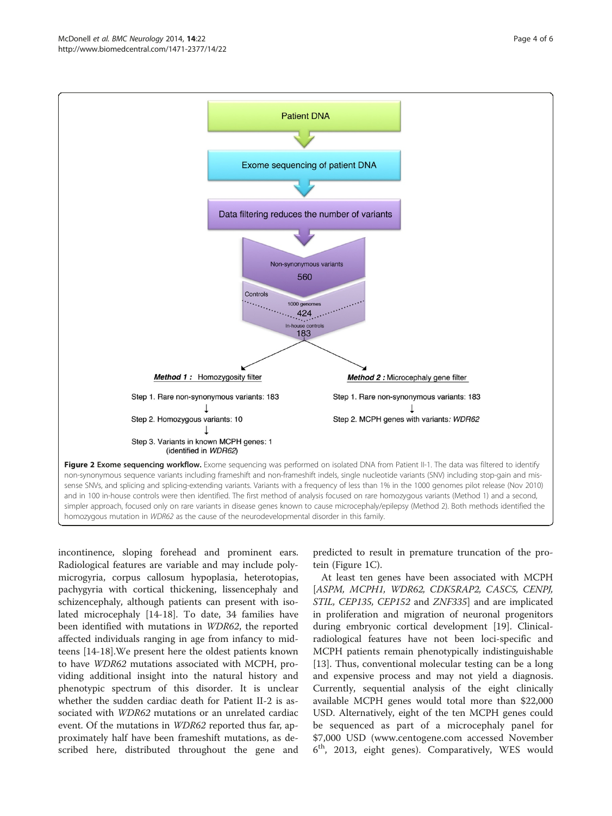<span id="page-3-0"></span>

incontinence, sloping forehead and prominent ears. Radiological features are variable and may include polymicrogyria, corpus callosum hypoplasia, heterotopias, pachygyria with cortical thickening, lissencephaly and schizencephaly, although patients can present with isolated microcephaly [[14-](#page-4-0)[18](#page-5-0)]. To date, 34 families have been identified with mutations in WDR62, the reported affected individuals ranging in age from infancy to midteens [\[14-](#page-4-0)[18](#page-5-0)].We present here the oldest patients known to have WDR62 mutations associated with MCPH, providing additional insight into the natural history and phenotypic spectrum of this disorder. It is unclear whether the sudden cardiac death for Patient II-2 is associated with WDR62 mutations or an unrelated cardiac event. Of the mutations in WDR62 reported thus far, approximately half have been frameshift mutations, as described here, distributed throughout the gene and

predicted to result in premature truncation of the protein (Figure [1C](#page-1-0)).

At least ten genes have been associated with MCPH [ASPM, MCPH1, WDR62, CDK5RAP2, CASC5, CENPJ, STIL, CEP135, CEP152 and ZNF335] and are implicated in proliferation and migration of neuronal progenitors during embryonic cortical development [\[19](#page-5-0)]. Clinicalradiological features have not been loci-specific and MCPH patients remain phenotypically indistinguishable [[13\]](#page-4-0). Thus, conventional molecular testing can be a long and expensive process and may not yield a diagnosis. Currently, sequential analysis of the eight clinically available MCPH genes would total more than \$22,000 USD. Alternatively, eight of the ten MCPH genes could be sequenced as part of a microcephaly panel for \$7,000 USD [\(www.centogene.com](http://www.centogene.com) accessed November 6th, 2013, eight genes). Comparatively, WES would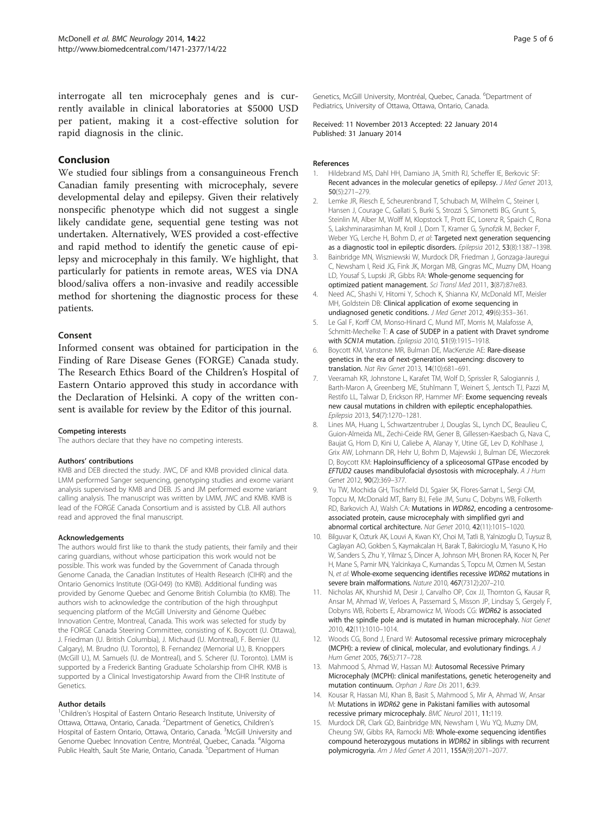<span id="page-4-0"></span>interrogate all ten microcephaly genes and is currently available in clinical laboratories at \$5000 USD per patient, making it a cost-effective solution for rapid diagnosis in the clinic.

# Conclusion

We studied four siblings from a consanguineous French Canadian family presenting with microcephaly, severe developmental delay and epilepsy. Given their relatively nonspecific phenotype which did not suggest a single likely candidate gene, sequential gene testing was not undertaken. Alternatively, WES provided a cost-effective and rapid method to identify the genetic cause of epilepsy and microcephaly in this family. We highlight, that particularly for patients in remote areas, WES via DNA blood/saliva offers a non-invasive and readily accessible method for shortening the diagnostic process for these patients.

#### Consent

Informed consent was obtained for participation in the Finding of Rare Disease Genes (FORGE) Canada study. The Research Ethics Board of the Children's Hospital of Eastern Ontario approved this study in accordance with the Declaration of Helsinki. A copy of the written consent is available for review by the Editor of this journal.

#### Competing interests

The authors declare that they have no competing interests.

#### Authors' contributions

KMB and DEB directed the study. JWC, DF and KMB provided clinical data. LMM performed Sanger sequencing, genotyping studies and exome variant analysis supervised by KMB and DEB. JS and JM performed exome variant calling analysis. The manuscript was written by LMM, JWC and KMB. KMB is lead of the FORGE Canada Consortium and is assisted by CLB. All authors read and approved the final manuscript.

#### Acknowledgements

The authors would first like to thank the study patients, their family and their caring guardians, without whose participation this work would not be possible. This work was funded by the Government of Canada through Genome Canada, the Canadian Institutes of Health Research (CIHR) and the Ontario Genomics Institute (OGI-049) (to KMB). Additional funding was provided by Genome Quebec and Genome British Columbia (to KMB). The authors wish to acknowledge the contribution of the high throughput sequencing platform of the McGill University and Génome Québec Innovation Centre, Montreal, Canada. This work was selected for study by the FORGE Canada Steering Committee, consisting of K. Boycott (U. Ottawa), J. Friedman (U. British Columbia), J. Michaud (U. Montreal), F. Bernier (U. Calgary), M. Brudno (U. Toronto), B. Fernandez (Memorial U.), B. Knoppers (McGill U.), M. Samuels (U. de Montreal), and S. Scherer (U. Toronto). LMM is supported by a Frederick Banting Graduate Scholarship from CIHR. KMB is supported by a Clinical Investigatorship Award from the CIHR Institute of Genetics.

#### Author details

<sup>1</sup>Children's Hospital of Eastern Ontario Research Institute, University of Ottawa, Ottawa, Ontario, Canada. <sup>2</sup>Department of Genetics, Children's Hospital of Eastern Ontario, Ottawa, Ontario, Canada. <sup>3</sup>McGill University and Genome Quebec Innovation Centre, Montréal, Quebec, Canada. <sup>4</sup>Algoma Public Health, Sault Ste Marie, Ontario, Canada. <sup>5</sup>Department of Human

Genetics, McGill University, Montréal, Quebec, Canada. <sup>6</sup>Department of Pediatrics, University of Ottawa, Ottawa, Ontario, Canada.

Received: 11 November 2013 Accepted: 22 January 2014 Published: 31 January 2014

#### References

- Hildebrand MS, Dahl HH, Damiano JA, Smith RJ, Scheffer IE, Berkovic SF: Recent advances in the molecular genetics of epilepsy. J Med Genet 2013, 50(5):271–279.
- 2. Lemke JR, Riesch E, Scheurenbrand T, Schubach M, Wilhelm C, Steiner I, Hansen J, Courage C, Gallati S, Burki S, Strozzi S, Simonetti BG, Grunt S, Steinlin M, Alber M, Wolff M, Klopstock T, Prott EC, Lorenz R, Spaich C, Rona S, Lakshminarasimhan M, Kroll J, Dorn T, Kramer G, Synofzik M, Becker F, Weber YG, Lerche H, Bohm D, et al: Targeted next generation sequencing as a diagnostic tool in epileptic disorders. Epilepsia 2012, 53(8):1387–1398.
- 3. Bainbridge MN, Wiszniewski W, Murdock DR, Friedman J, Gonzaga-Jauregui C, Newsham I, Reid JG, Fink JK, Morgan MB, Gingras MC, Muzny DM, Hoang LD, Yousaf S, Lupski JR, Gibbs RA: Whole-genome sequencing for optimized patient management. Sci Transl Med 2011, 3(87):87re83.
- 4. Need AC, Shashi V, Hitomi Y, Schoch K, Shianna KV, McDonald MT, Meisler MH, Goldstein DB: Clinical application of exome sequencing in undiagnosed genetic conditions. J Med Genet 2012, 49(6):353–361.
- 5. Le Gal F, Korff CM, Monso-Hinard C, Mund MT, Morris M, Malafosse A, Schmitt-Mechelke T: A case of SUDEP in a patient with Dravet syndrome with SCN1A mutation. Epilepsia 2010, 51(9):1915-1918.
- 6. Boycott KM, Vanstone MR, Bulman DE, MacKenzie AE: Rare-disease genetics in the era of next-generation sequencing: discovery to translation. Nat Rev Genet 2013, 14(10):681–691.
- 7. Veeramah KR, Johnstone L, Karafet TM, Wolf D, Sprissler R, Salogiannis J, Barth-Maron A, Greenberg ME, Stuhlmann T, Weinert S, Jentsch TJ, Pazzi M, Restifo LL, Talwar D, Erickson RP, Hammer MF: Exome sequencing reveals new causal mutations in children with epileptic encephalopathies. Epilepsia 2013, 54(7):1270–1281.
- 8. Lines MA, Huang L, Schwartzentruber J, Douglas SL, Lynch DC, Beaulieu C, Guion-Almeida ML, Zechi-Ceide RM, Gener B, Gillessen-Kaesbach G, Nava C, Baujat G, Horn D, Kini U, Caliebe A, Alanay Y, Utine GE, Lev D, Kohlhase J, Grix AW, Lohmann DR, Hehr U, Bohm D, Majewski J, Bulman DE, Wieczorek D, Boycott KM: Haploinsufficiency of a spliceosomal GTPase encoded by EFTUD2 causes mandibulofacial dysostosis with microcephaly. A J Hum Genet 2012, 90(2):369–377.
- 9. Yu TW, Mochida GH, Tischfield DJ, Sgaier SK, Flores-Sarnat L, Sergi CM, Topcu M, McDonald MT, Barry BJ, Felie JM, Sunu C, Dobyns WB, Folkerth RD, Barkovich AJ, Walsh CA: Mutations in WDR62, encoding a centrosomeassociated protein, cause microcephaly with simplified gyri and abnormal cortical architecture. Nat Genet 2010, 42(11):1015–1020.
- 10. Bilguvar K, Ozturk AK, Louvi A, Kwan KY, Choi M, Tatli B, Yalnizoglu D, Tuysuz B, Caglayan AO, Gokben S, Kaymakcalan H, Barak T, Bakircioglu M, Yasuno K, Ho W, Sanders S, Zhu Y, Yilmaz S, Dincer A, Johnson MH, Bronen RA, Kocer N, Per H, Mane S, Pamir MN, Yalcinkaya C, Kumandas S, Topcu M, Ozmen M, Sestan N, et al: Whole-exome sequencing identifies recessive WDR62 mutations in severe brain malformations. Nature 2010, 467(7312):207–210.
- 11. Nicholas AK, Khurshid M, Desir J, Carvalho OP, Cox JJ, Thornton G, Kausar R, Ansar M, Ahmad W, Verloes A, Passemard S, Misson JP, Lindsay S, Gergely F, Dobyns WB, Roberts E, Abramowicz M, Woods CG: WDR62 is associated with the spindle pole and is mutated in human microcephaly. Nat Genet 2010, 42(11):1010–1014.
- 12. Woods CG, Bond J, Enard W: Autosomal recessive primary microcephaly (MCPH): a review of clinical, molecular, and evolutionary findings. A J Hum Genet 2005, 76(5):717–728.
- 13. Mahmood S, Ahmad W, Hassan MJ: Autosomal Recessive Primary Microcephaly (MCPH): clinical manifestations, genetic heterogeneity and mutation continuum. Orphan J Rare Dis 2011, 6:39.
- 14. Kousar R, Hassan MJ, Khan B, Basit S, Mahmood S, Mir A, Ahmad W, Ansar M: Mutations in WDR62 gene in Pakistani families with autosomal recessive primary microcephaly. BMC Neurol 2011, 11:119.
- 15. Murdock DR, Clark GD, Bainbridge MN, Newsham I, Wu YQ, Muzny DM, Cheung SW, Gibbs RA, Ramocki MB: Whole-exome sequencing identifies compound heterozygous mutations in WDR62 in siblings with recurrent polymicrogyria. Am J Med Genet A 2011, 155A(9):2071–2077.